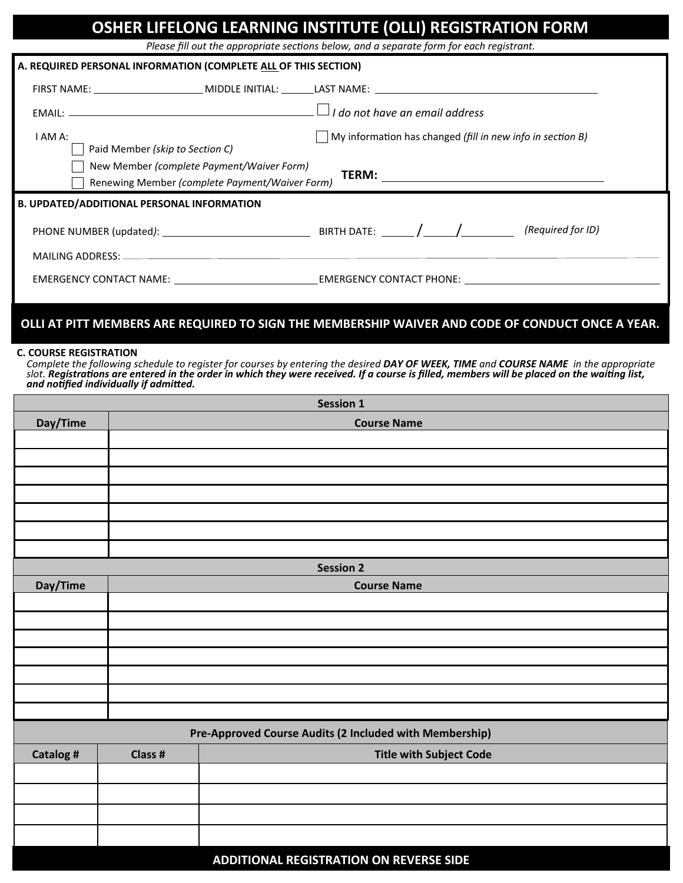|                                                                                                                                                                                                                                                                                                                                                                 |                                                   |                                                                                             | OSHER LIFELONG LEARNING INSTITUTE (OLLI) REGISTRATION FORM<br>Please fill out the appropriate sections below, and a separate form for each registrant. |  |                                |                                                                                                  |  |  |
|-----------------------------------------------------------------------------------------------------------------------------------------------------------------------------------------------------------------------------------------------------------------------------------------------------------------------------------------------------------------|---------------------------------------------------|---------------------------------------------------------------------------------------------|--------------------------------------------------------------------------------------------------------------------------------------------------------|--|--------------------------------|--------------------------------------------------------------------------------------------------|--|--|
| A. REQUIRED PERSONAL INFORMATION (COMPLETE ALL OF THIS SECTION)                                                                                                                                                                                                                                                                                                 |                                                   |                                                                                             |                                                                                                                                                        |  |                                |                                                                                                  |  |  |
|                                                                                                                                                                                                                                                                                                                                                                 |                                                   |                                                                                             |                                                                                                                                                        |  |                                |                                                                                                  |  |  |
| EMAIL: $\Box$ and $\Box$ and $\Box$ and $\Box$ and $\Box$ and $\Box$ and $\Box$ and $\Box$ and $\Box$ and $\Box$ and $\Box$ and $\Box$ and $\Box$ and $\Box$ and $\Box$ and $\Box$ and $\Box$ and $\Box$ and $\Box$ and $\Box$ and $\Box$ and $\Box$ and $\Box$ and $\Box$ an                                                                                   |                                                   |                                                                                             |                                                                                                                                                        |  |                                |                                                                                                  |  |  |
| I AM A:                                                                                                                                                                                                                                                                                                                                                         |                                                   |                                                                                             | $\Box$ My information has changed (fill in new info in section B)                                                                                      |  |                                |                                                                                                  |  |  |
|                                                                                                                                                                                                                                                                                                                                                                 | Paid Member (skip to Section C)                   |                                                                                             |                                                                                                                                                        |  |                                |                                                                                                  |  |  |
|                                                                                                                                                                                                                                                                                                                                                                 |                                                   | New Member (complete Payment/Waiver Form)<br>Renewing Member (complete Payment/Waiver Form) |                                                                                                                                                        |  |                                |                                                                                                  |  |  |
|                                                                                                                                                                                                                                                                                                                                                                 | <b>B. UPDATED/ADDITIONAL PERSONAL INFORMATION</b> |                                                                                             |                                                                                                                                                        |  |                                |                                                                                                  |  |  |
|                                                                                                                                                                                                                                                                                                                                                                 |                                                   |                                                                                             |                                                                                                                                                        |  |                                | (Required for ID)                                                                                |  |  |
|                                                                                                                                                                                                                                                                                                                                                                 |                                                   |                                                                                             |                                                                                                                                                        |  |                                |                                                                                                  |  |  |
|                                                                                                                                                                                                                                                                                                                                                                 |                                                   |                                                                                             |                                                                                                                                                        |  |                                |                                                                                                  |  |  |
|                                                                                                                                                                                                                                                                                                                                                                 |                                                   |                                                                                             |                                                                                                                                                        |  |                                |                                                                                                  |  |  |
|                                                                                                                                                                                                                                                                                                                                                                 |                                                   |                                                                                             |                                                                                                                                                        |  |                                | OLLI AT PITT MEMBERS ARE REQUIRED TO SIGN THE MEMBERSHIP WAIVER AND CODE OF CONDUCT ONCE A YEAR. |  |  |
|                                                                                                                                                                                                                                                                                                                                                                 |                                                   |                                                                                             |                                                                                                                                                        |  |                                |                                                                                                  |  |  |
| <b>C. COURSE REGISTRATION</b><br>Complete the following schedule to register for courses by entering the desired DAY OF WEEK, TIME and COURSE NAME in the appropriate<br>slot. Registrations are entered in the order in which they were received. If a course is filled, members will be placed on the waiting list,<br>and notified individually if admitted. |                                                   |                                                                                             |                                                                                                                                                        |  |                                |                                                                                                  |  |  |
|                                                                                                                                                                                                                                                                                                                                                                 |                                                   |                                                                                             | <b>Session 1</b>                                                                                                                                       |  |                                |                                                                                                  |  |  |
| Day/Time                                                                                                                                                                                                                                                                                                                                                        |                                                   |                                                                                             | <b>Course Name</b>                                                                                                                                     |  |                                |                                                                                                  |  |  |
|                                                                                                                                                                                                                                                                                                                                                                 |                                                   |                                                                                             |                                                                                                                                                        |  |                                |                                                                                                  |  |  |
|                                                                                                                                                                                                                                                                                                                                                                 |                                                   |                                                                                             |                                                                                                                                                        |  |                                |                                                                                                  |  |  |
|                                                                                                                                                                                                                                                                                                                                                                 |                                                   |                                                                                             |                                                                                                                                                        |  |                                |                                                                                                  |  |  |
|                                                                                                                                                                                                                                                                                                                                                                 |                                                   |                                                                                             |                                                                                                                                                        |  |                                |                                                                                                  |  |  |
|                                                                                                                                                                                                                                                                                                                                                                 |                                                   |                                                                                             |                                                                                                                                                        |  |                                |                                                                                                  |  |  |
|                                                                                                                                                                                                                                                                                                                                                                 |                                                   |                                                                                             | <b>Session 2</b>                                                                                                                                       |  |                                |                                                                                                  |  |  |
| Day/Time                                                                                                                                                                                                                                                                                                                                                        |                                                   |                                                                                             | <b>Course Name</b>                                                                                                                                     |  |                                |                                                                                                  |  |  |
|                                                                                                                                                                                                                                                                                                                                                                 |                                                   |                                                                                             |                                                                                                                                                        |  |                                |                                                                                                  |  |  |
|                                                                                                                                                                                                                                                                                                                                                                 |                                                   |                                                                                             |                                                                                                                                                        |  |                                |                                                                                                  |  |  |
|                                                                                                                                                                                                                                                                                                                                                                 |                                                   |                                                                                             |                                                                                                                                                        |  |                                |                                                                                                  |  |  |
|                                                                                                                                                                                                                                                                                                                                                                 |                                                   |                                                                                             |                                                                                                                                                        |  |                                |                                                                                                  |  |  |
|                                                                                                                                                                                                                                                                                                                                                                 |                                                   |                                                                                             |                                                                                                                                                        |  |                                |                                                                                                  |  |  |
|                                                                                                                                                                                                                                                                                                                                                                 |                                                   |                                                                                             |                                                                                                                                                        |  |                                |                                                                                                  |  |  |
| Pre-Approved Course Audits (2 Included with Membership)                                                                                                                                                                                                                                                                                                         |                                                   |                                                                                             |                                                                                                                                                        |  |                                |                                                                                                  |  |  |
| Catalog #                                                                                                                                                                                                                                                                                                                                                       | Class #                                           |                                                                                             |                                                                                                                                                        |  | <b>Title with Subject Code</b> |                                                                                                  |  |  |
|                                                                                                                                                                                                                                                                                                                                                                 |                                                   |                                                                                             |                                                                                                                                                        |  |                                |                                                                                                  |  |  |
|                                                                                                                                                                                                                                                                                                                                                                 |                                                   |                                                                                             |                                                                                                                                                        |  |                                |                                                                                                  |  |  |

## **ADDITIONAL REGISTRATION ON REVERSE SIDE**